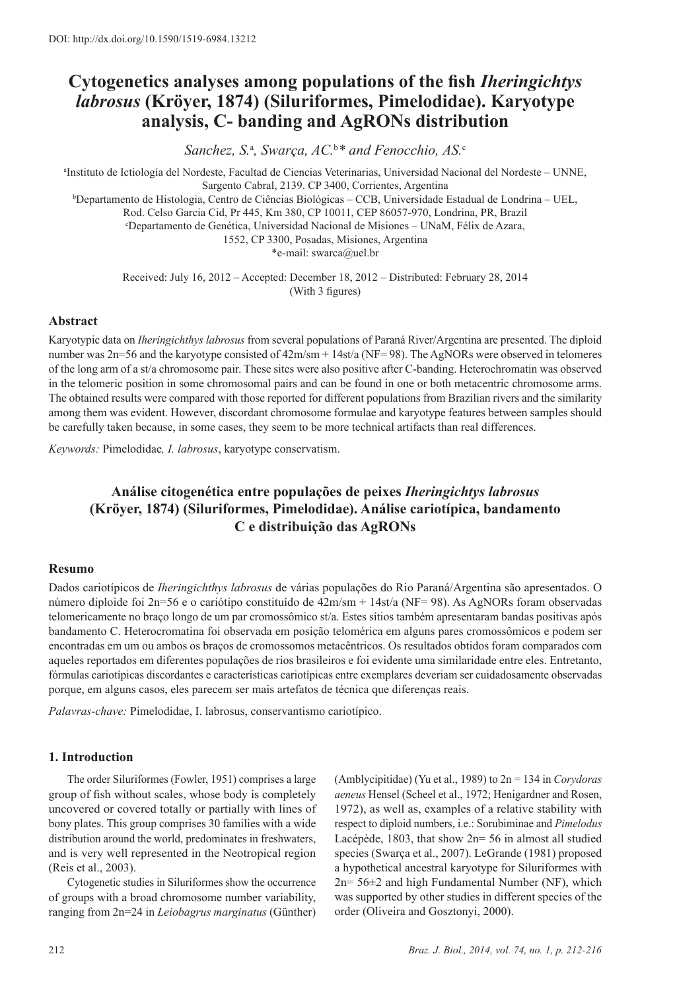# **Cytogenetics analyses among populations of the fish** *Iheringichtys labrosus* **(Kröyer, 1874) (Siluriformes, Pimelodidae). Karyotype analysis, C- banding and AgRONs distribution**

*Sanchez, S.*<sup>a</sup> *, Swarça, AC.*<sup>b</sup> *\* and Fenocchio, AS.*<sup>c</sup>

a Instituto de Ictiología del Nordeste, Facultad de Ciencias Veterinarias, Universidad Nacional del Nordeste – UNNE, Sargento Cabral, 2139. CP 3400, Corrientes, Argentina b Departamento de Histologia, Centro de Ciências Biológicas – CCB, Universidade Estadual de Londrina – UEL, Rod. Celso Garcia Cid, Pr 445, Km 380, CP 10011, CEP 86057-970, Londrina, PR, Brazil c Departamento de Genética, Universidad Nacional de Misiones – UNaM, Félix de Azara, 1552, CP 3300, Posadas, Misiones, Argentina \*e-mail: swarca@uel.br

> Received: July 16, 2012 – Accepted: December 18, 2012 – Distributed: February 28, 2014 (With 3 figures)

# **Abstract**

Karyotypic data on *Iheringichthys labrosus* from several populations of Paraná River/Argentina are presented. The diploid number was 2n=56 and the karyotype consisted of  $42m/m + 14st/a$  (NF= 98). The AgNORs were observed in telomeres of the long arm of a st/a chromosome pair. These sites were also positive after C-banding. Heterochromatin was observed in the telomeric position in some chromosomal pairs and can be found in one or both metacentric chromosome arms. The obtained results were compared with those reported for different populations from Brazilian rivers and the similarity among them was evident. However, discordant chromosome formulae and karyotype features between samples should be carefully taken because, in some cases, they seem to be more technical artifacts than real differences.

*Keywords:* Pimelodidae*, I. labrosus*, karyotype conservatism.

# **Análise citogenética entre populações de peixes** *Iheringichtys labrosus* **(Kröyer, 1874) (Siluriformes, Pimelodidae). Análise cariotípica, bandamento C e distribuição das AgRONs**

### **Resumo**

Dados cariotípicos de *Iheringichthys labrosus* de várias populações do Rio Paraná/Argentina são apresentados. O número diploide foi 2n=56 e o cariótipo constituído de 42m/sm + 14st/a (NF= 98). As AgNORs foram observadas telomericamente no braço longo de um par cromossômico st/a. Estes sítios também apresentaram bandas positivas após bandamento C. Heterocromatina foi observada em posição telomérica em alguns pares cromossômicos e podem ser encontradas em um ou ambos os braços de cromossomos metacêntricos. Os resultados obtidos foram comparados com aqueles reportados em diferentes populações de rios brasileiros e foi evidente uma similaridade entre eles. Entretanto, fórmulas cariotípicas discordantes e características cariotípicas entre exemplares deveriam ser cuidadosamente observadas porque, em alguns casos, eles parecem ser mais artefatos de técnica que diferenças reais.

*Palavras-chave:* Pimelodidae, I. labrosus, conservantismo cariotípico.

# **1. Introduction**

The order Siluriformes (Fowler, 1951) comprises a large group of fish without scales, whose body is completely uncovered or covered totally or partially with lines of bony plates. This group comprises 30 families with a wide distribution around the world, predominates in freshwaters, and is very well represented in the Neotropical region (Reis et al., 2003).

Cytogenetic studies in Siluriformes show the occurrence of groups with a broad chromosome number variability, ranging from 2n=24 in *Leiobagrus marginatus* (Günther) (Amblycipitidae) (Yu et al., 1989) to 2n = 134 in *Corydoras aeneus* Hensel (Scheel et al., 1972; Henigardner and Rosen, 1972), as well as, examples of a relative stability with respect to diploid numbers, i.e.: Sorubiminae and *Pimelodus* Lacépède, 1803, that show 2n= 56 in almost all studied species (Swarça et al., 2007). LeGrande (1981) proposed a hypothetical ancestral karyotype for Siluriformes with  $2n= 56\pm 2$  and high Fundamental Number (NF), which was supported by other studies in different species of the order (Oliveira and Gosztonyi, 2000).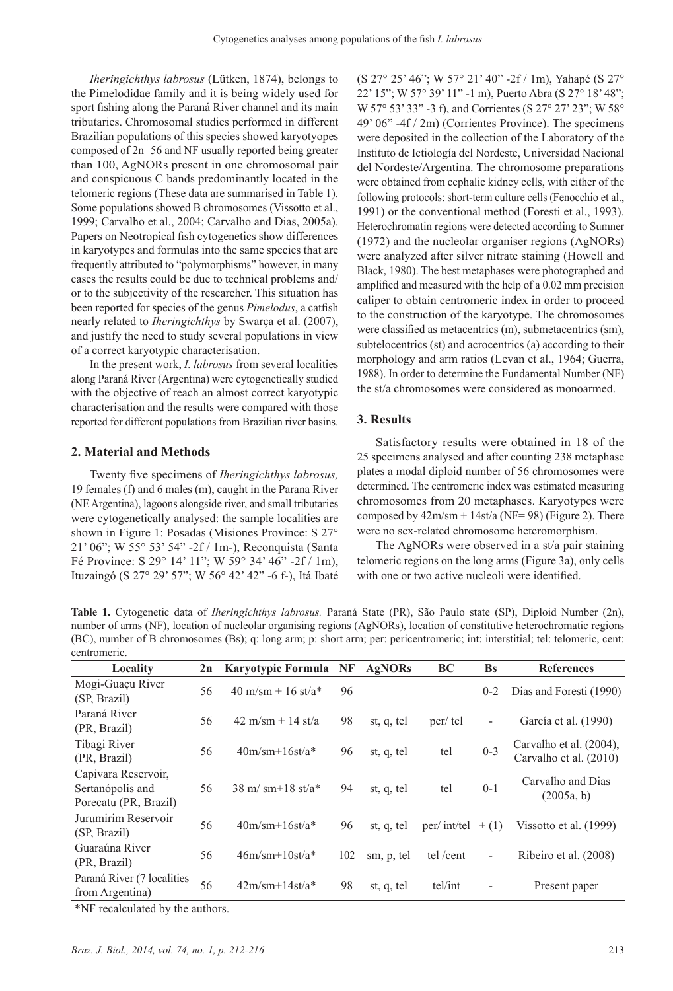*Iheringichthys labrosus* (Lütken, 1874), belongs to the Pimelodidae family and it is being widely used for sport fishing along the Paraná River channel and its main tributaries. Chromosomal studies performed in different Brazilian populations of this species showed karyotyopes composed of 2n=56 and NF usually reported being greater than 100, AgNORs present in one chromosomal pair and conspicuous C bands predominantly located in the telomeric regions (These data are summarised in Table 1). Some populations showed B chromosomes (Vissotto et al., 1999; Carvalho et al., 2004; Carvalho and Dias, 2005a). Papers on Neotropical fish cytogenetics show differences in karyotypes and formulas into the same species that are frequently attributed to "polymorphisms" however, in many cases the results could be due to technical problems and/ or to the subjectivity of the researcher. This situation has been reported for species of the genus *Pimelodus*, a catfish nearly related to *Iheringichthys* by Swarça et al. (2007), and justify the need to study several populations in view of a correct karyotypic characterisation.

In the present work, *I. labrosus* from several localities along Paraná River (Argentina) were cytogenetically studied with the objective of reach an almost correct karyotypic characterisation and the results were compared with those reported for different populations from Brazilian river basins.

### **2. Material and Methods**

Twenty five specimens of *Iheringichthys labrosus,* 19 females (f) and 6 males (m), caught in the Parana River (NE Argentina), lagoons alongside river, and small tributaries were cytogenetically analysed: the sample localities are shown in Figure 1: Posadas (Misiones Province: S 27° 21' 06"; W 55° 53' 54" -2f / 1m-), Reconquista (Santa Fé Province: S 29° 14' 11"; W 59° 34' 46" -2f / 1m), Ituzaingó (S 27° 29' 57"; W 56° 42' 42" -6 f-), Itá Ibaté

(S 27° 25' 46"; W 57° 21' 40" -2f / 1m), Yahapé (S 27° 22' 15"; W 57° 39' 11" -1 m), Puerto Abra (S 27° 18' 48"; W 57° 53' 33" -3 f), and Corrientes (S 27° 27' 23"; W 58° 49' 06" -4f / 2m) (Corrientes Province). The specimens were deposited in the collection of the Laboratory of the Instituto de Ictiología del Nordeste, Universidad Nacional del Nordeste/Argentina. The chromosome preparations were obtained from cephalic kidney cells, with either of the following protocols: short-term culture cells (Fenocchio et al., 1991) or the conventional method (Foresti et al., 1993). Heterochromatin regions were detected according to Sumner (1972) and the nucleolar organiser regions (AgNORs) were analyzed after silver nitrate staining (Howell and Black, 1980). The best metaphases were photographed and amplified and measured with the help of a 0.02 mm precision caliper to obtain centromeric index in order to proceed to the construction of the karyotype. The chromosomes were classified as metacentrics (m), submetacentrics (sm), subtelocentrics (st) and acrocentrics (a) according to their morphology and arm ratios (Levan et al., 1964; Guerra, 1988). In order to determine the Fundamental Number (NF) the st/a chromosomes were considered as monoarmed.

### **3. Results**

Satisfactory results were obtained in 18 of the 25 specimens analysed and after counting 238 metaphase plates a modal diploid number of 56 chromosomes were determined. The centromeric index was estimated measuring chromosomes from 20 metaphases. Karyotypes were composed by  $42m/m + 14st/a$  (NF= 98) (Figure 2). There were no sex-related chromosome heteromorphism.

The AgNORs were observed in a st/a pair staining telomeric regions on the long arms (Figure 3a), only cells with one or two active nucleoli were identified.

**Table 1.** Cytogenetic data of *Iheringichthys labrosus.* Paraná State (PR), São Paulo state (SP), Diploid Number (2n), number of arms (NF), location of nucleolar organising regions (AgNORs), location of constitutive heterochromatic regions (BC), number of B chromosomes (Bs); q: long arm; p: short arm; per: pericentromeric; int: interstitial; tel: telomeric, cent: centromeric.

| Locality                                                         | 2n | <b>Karyotypic Formula</b>                       | NF  | AgNORs     | BC           | <b>Bs</b>                | <b>References</b>                                 |  |
|------------------------------------------------------------------|----|-------------------------------------------------|-----|------------|--------------|--------------------------|---------------------------------------------------|--|
| Mogi-Guaçu River<br>(SP, Brazil)                                 | 56 | $40 \text{ m/sm} + 16 \text{ st/a*}$            | 96  |            |              | $0 - 2$                  | Dias and Foresti (1990)                           |  |
| Paraná River<br>(PR, Brazil)                                     | 56 | $42 \text{ m/sm} + 14 \text{ st/a}$             | 98  | st, q, tel | per/tel      | $\overline{\phantom{0}}$ | García et al. (1990)                              |  |
| Tibagi River<br>(PR, Brazil)                                     | 56 | $40m/sm+16st/a*$                                | 96  | st, q, tel | tel          | $0 - 3$                  | Carvalho et al. (2004),<br>Carvalho et al. (2010) |  |
| Capivara Reservoir,<br>Sertanópolis and<br>Porecatu (PR, Brazil) | 56 | $38 \text{ m} / \text{ sm} + 18 \text{ st}/a^*$ | 94  | st, q, tel | tel          | $0-1$                    | Carvalho and Dias<br>(2005a, b)                   |  |
| Jurumirim Reservoir<br>(SP, Brazil)                              | 56 | $40m/sm+16st/a*$                                | 96  | st, q, tel | per/ int/tel | $+(1)$                   | Vissotto et al. (1999)                            |  |
| Guaraúna River<br>(PR, Brazil)                                   | 56 | $46m/sm+10st/a*$                                | 102 | sm, p, tel | tel /cent    | $\overline{\phantom{0}}$ | Ribeiro et al. (2008)                             |  |
| Paraná River (7 localities<br>from Argentina)                    | 56 | $42m/sm+14st/a*$                                | 98  | st, q, tel | tel/int      |                          | Present paper                                     |  |
|                                                                  |    |                                                 |     |            |              |                          |                                                   |  |

\*NF recalculated by the authors.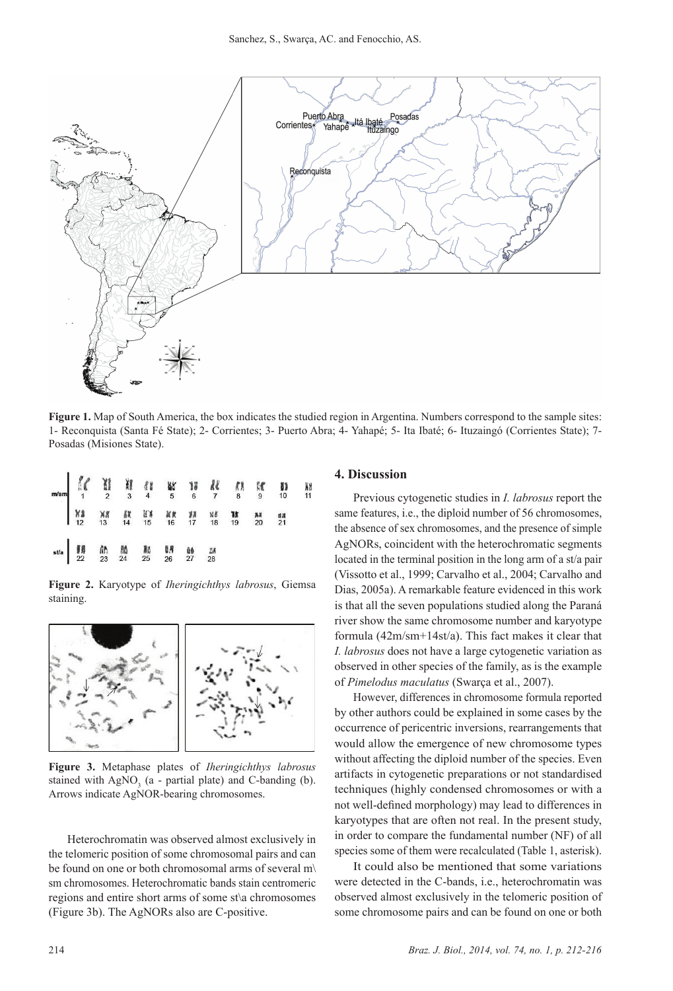

**Figure 1.** Map of South America, the box indicates the studied region in Argentina. Numbers correspond to the sample sites: 1- Reconquista (Santa Fé State); 2- Corrientes; 3- Puerto Abra; 4- Yahapé; 5- Ita Ibaté; 6- Ituzaingó (Corrientes State); 7‑ Posadas (Misiones State).

| $\begin{array}{c ccccccccccccccccccccccccccccccccc} \text{m/sm} & \text{M} & \text{M} & \text{M} & \text{M} & \text{M} & \text{M} & \text{M} & \text{M} & \text{M} & \text{M} & \text{M} & \text{M} & \text{M} & \text{M} & \text{M} & \text{M} & \text{M} & \text{M} & \text{M} & \text{M} & \text{M} & \text{M} & \text{M} & \text{M} & \text{M} & \text{M} & \text{M} & \text{M} & \text{M} & \text{M} & \text{M} & \text{M} & \text{$ |                             |  |  |  |  |  |
|-------------------------------------------------------------------------------------------------------------------------------------------------------------------------------------------------------------------------------------------------------------------------------------------------------------------------------------------------------------------------------------------------------------------------------------------|-----------------------------|--|--|--|--|--|
|                                                                                                                                                                                                                                                                                                                                                                                                                                           |                             |  |  |  |  |  |
|                                                                                                                                                                                                                                                                                                                                                                                                                                           | sta 55 00 10 10 10 10 10 15 |  |  |  |  |  |

**Figure 2.** Karyotype of *Iheringichthys labrosus*, Giemsa staining.



**Figure 3.** Metaphase plates of *Iheringichthys labrosus* stained with  $AgNO<sub>3</sub>$  (a - partial plate) and C-banding (b). Arrows indicate AgNOR-bearing chromosomes.

Heterochromatin was observed almost exclusively in the telomeric position of some chromosomal pairs and can be found on one or both chromosomal arms of several m\ sm chromosomes. Heterochromatic bands stain centromeric regions and entire short arms of some st\a chromosomes (Figure 3b). The AgNORs also are C-positive.

#### **4. Discussion**

Previous cytogenetic studies in *I. labrosus* report the same features, i.e., the diploid number of 56 chromosomes, the absence of sex chromosomes, and the presence of simple AgNORs, coincident with the heterochromatic segments located in the terminal position in the long arm of a st/a pair (Vissotto et al., 1999; Carvalho et al., 2004; Carvalho and Dias, 2005a). A remarkable feature evidenced in this work is that all the seven populations studied along the Paraná river show the same chromosome number and karyotype formula (42m/sm+14st/a). This fact makes it clear that *I. labrosus* does not have a large cytogenetic variation as observed in other species of the family, as is the example of *Pimelodus maculatus* (Swarça et al., 2007).

However, differences in chromosome formula reported by other authors could be explained in some cases by the occurrence of pericentric inversions, rearrangements that would allow the emergence of new chromosome types without affecting the diploid number of the species. Even artifacts in cytogenetic preparations or not standardised techniques (highly condensed chromosomes or with a not well-defined morphology) may lead to differences in karyotypes that are often not real. In the present study, in order to compare the fundamental number (NF) of all species some of them were recalculated (Table 1, asterisk).

It could also be mentioned that some variations were detected in the C-bands, i.e., heterochromatin was observed almost exclusively in the telomeric position of some chromosome pairs and can be found on one or both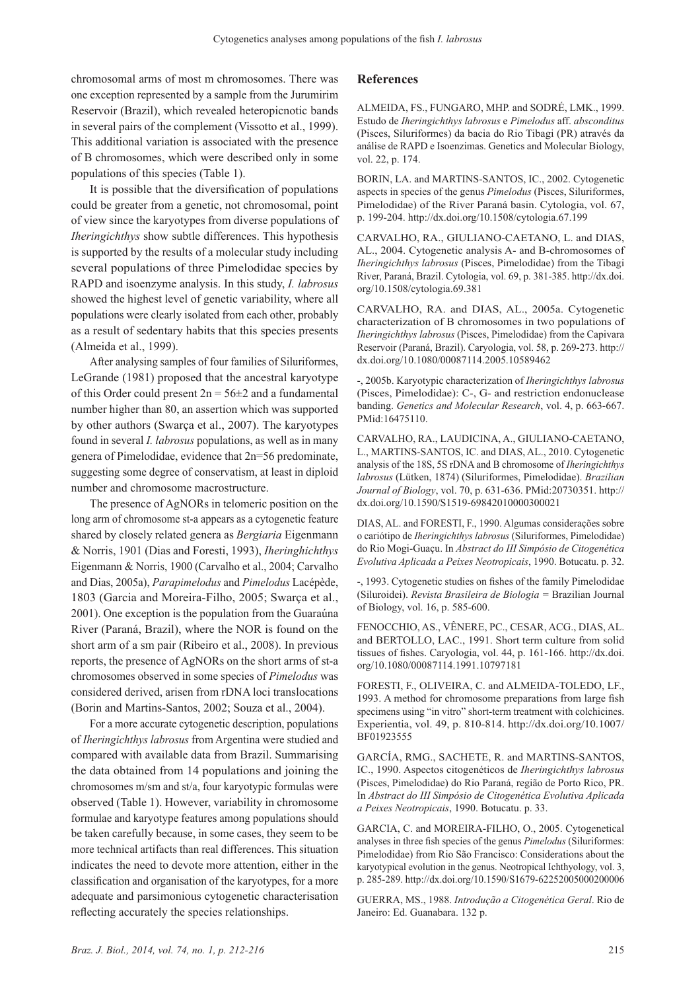chromosomal arms of most m chromosomes. There was one exception represented by a sample from the Jurumirim Reservoir (Brazil), which revealed heteropicnotic bands in several pairs of the complement (Vissotto et al., 1999). This additional variation is associated with the presence of B chromosomes, which were described only in some populations of this species (Table 1).

It is possible that the diversification of populations could be greater from a genetic, not chromosomal, point of view since the karyotypes from diverse populations of *Iheringichthys* show subtle differences. This hypothesis is supported by the results of a molecular study including several populations of three Pimelodidae species by RAPD and isoenzyme analysis. In this study, *I. labrosus* showed the highest level of genetic variability, where all populations were clearly isolated from each other, probably as a result of sedentary habits that this species presents (Almeida et al., 1999).

After analysing samples of four families of Siluriformes, LeGrande (1981) proposed that the ancestral karyotype of this Order could present  $2n = 56 \pm 2$  and a fundamental number higher than 80, an assertion which was supported by other authors (Swarça et al., 2007). The karyotypes found in several *I. labrosus* populations, as well as in many genera of Pimelodidae, evidence that 2n=56 predominate, suggesting some degree of conservatism, at least in diploid number and chromosome macrostructure.

The presence of AgNORs in telomeric position on the long arm of chromosome st-a appears as a cytogenetic feature shared by closely related genera as *Bergiaria* Eigenmann & Norris, 1901 (Dias and Foresti, 1993), *Iheringhichthys* Eigenmann & Norris, 1900 (Carvalho et al., 2004; Carvalho and Dias, 2005a), *Parapimelodus* and *Pimelodus* Lacépède, 1803 (Garcia and Moreira-Filho, 2005; Swarça et al., 2001). One exception is the population from the Guaraúna River (Paraná, Brazil), where the NOR is found on the short arm of a sm pair (Ribeiro et al., 2008). In previous reports, the presence of AgNORs on the short arms of st-a chromosomes observed in some species of *Pimelodus* was considered derived, arisen from rDNA loci translocations (Borin and Martins-Santos, 2002; Souza et al., 2004).

For a more accurate cytogenetic description, populations of *Iheringichthys labrosus* from Argentina were studied and compared with available data from Brazil. Summarising the data obtained from 14 populations and joining the chromosomes m/sm and st/a, four karyotypic formulas were observed (Table 1). However, variability in chromosome formulae and karyotype features among populations should be taken carefully because, in some cases, they seem to be more technical artifacts than real differences. This situation indicates the need to devote more attention, either in the classification and organisation of the karyotypes, for a more adequate and parsimonious cytogenetic characterisation reflecting accurately the species relationships.

## **References**

ALMEIDA, FS., FUNGARO, MHP. and SODRÉ, LMK., 1999. Estudo de *Iheringichthys labrosus* e *Pimelodus* aff. *absconditus* (Pisces, Siluriformes) da bacia do Rio Tibagi (PR) através da análise de RAPD e Isoenzimas. Genetics and Molecular Biology, vol. 22, p. 174.

BORIN, LA. and MARTINS-SANTOS, IC., 2002. Cytogenetic aspects in species of the genus *Pimelodus* (Pisces, Siluriformes, Pimelodidae) of the River Paraná basin. Cytologia, vol. 67, p. 199-204. http://dx.doi.org/10.1508/cytologia.67.199

CARVALHO, RA., GIULIANO-CAETANO, L. and DIAS, AL., 2004. Cytogenetic analysis A- and B-chromosomes of *Iheringichthys labrosus* (Pisces, Pimelodidae) from the Tibagi River, Paraná, Brazil. Cytologia, vol. 69, p. 381-385. http://dx.doi. org/10.1508/cytologia.69.381

CARVALHO, RA. and DIAS, AL., 2005a. Cytogenetic characterization of B chromosomes in two populations of *Iheringichthys labrosus* (Pisces, Pimelodidae) from the Capivara Reservoir (Paraná, Brazil). Caryologia, vol. 58, p. 269-273. http:// dx.doi.org/10.1080/00087114.2005.10589462

-, 2005b. Karyotypic characterization of *Iheringichthys labrosus* (Pisces, Pimelodidae): C-, G- and restriction endonuclease banding. *Genetics and Molecular Research*, vol. 4, p. 663-667. PMid:16475110.

CARVALHO, RA., LAUDICINA, A., GIULIANO-CAETANO, L., MARTINS-SANTOS, IC. and DIAS, AL., 2010. Cytogenetic analysis of the 18S, 5S rDNA and B chromosome of *Iheringichthys labrosus* (Lütken, 1874) (Siluriformes, Pimelodidae). *Brazilian Journal of Biology*, vol. 70, p. 631-636. PMid:20730351. http:// dx.doi.org/10.1590/S1519-69842010000300021

DIAS, AL. and FORESTI, F., 1990. Algumas considerações sobre o cariótipo de *Iheringichthys labrosus* (Siluriformes, Pimelodidae) do Rio Mogi-Guaçu. In *Abstract do III Simpósio de Citogenética Evolutiva Aplicada a Peixes Neotropicais*, 1990. Botucatu. p. 32.

-, 1993. Cytogenetic studies on fishes of the family Pimelodidae (Siluroidei). *Revista Brasileira de Biologia =* Brazilian Journal of Biology, vol. 16, p. 585-600.

FENOCCHIO, AS., VÊNERE, PC., CESAR, ACG., DIAS, AL. and BERTOLLO, LAC., 1991. Short term culture from solid tissues of fishes. Caryologia, vol. 44, p. 161-166. http://dx.doi. org/10.1080/00087114.1991.10797181

FORESTI, F., OLIVEIRA, C. and ALMEIDA-TOLEDO, LF., 1993. A method for chromosome preparations from large fish specimens using "in vitro" short-term treatment with colchicines. Experientia, vol. 49, p. 810-814. http://dx.doi.org/10.1007/ BF01923555

GARCÍA, RMG., SACHETE, R. and MARTINS-SANTOS, IC., 1990. Aspectos citogenéticos de *Iheringichthys labrosus* (Pisces, Pimelodidae) do Rio Paraná, região de Porto Rico, PR. In *Abstract do III Simpósio de Citogenética Evolutiva Aplicada a Peixes Neotropicais*, 1990. Botucatu. p. 33.

GARCIA, C. and MOREIRA-FILHO, O., 2005. Cytogenetical analyses in three fish species of the genus *Pimelodus* (Siluriformes: Pimelodidae) from Rio São Francisco: Considerations about the karyotypical evolution in the genus. Neotropical Ichthyology, vol. 3, p. 285-289. http://dx.doi.org/10.1590/S1679-62252005000200006

GUERRA, MS., 1988. *Introdução a Citogenética Geral*. Rio de Janeiro: Ed. Guanabara. 132 p.